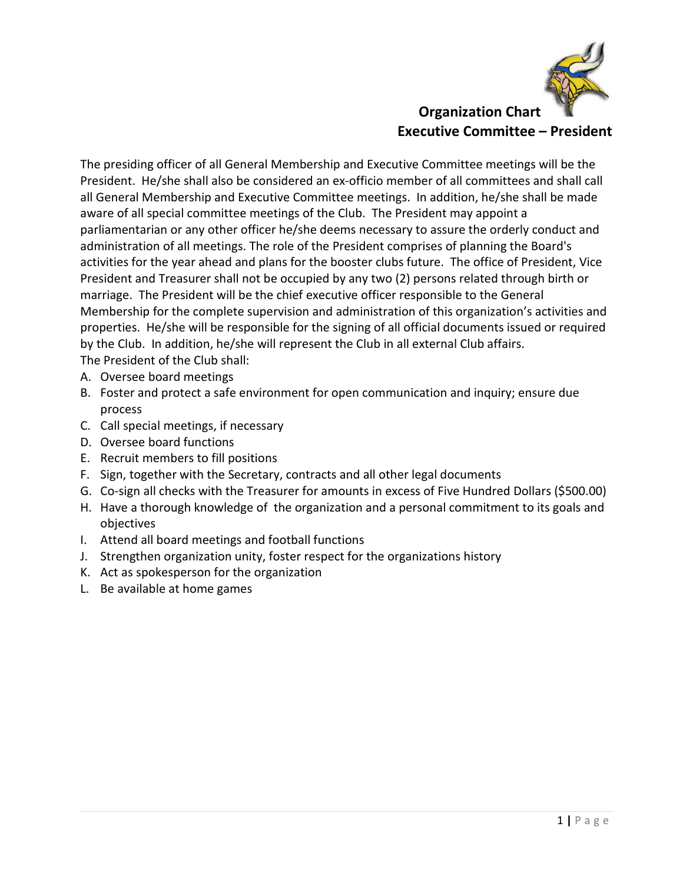

**Executive Committee – President**

The presiding officer of all General Membership and Executive Committee meetings will be the President. He/she shall also be considered an ex-officio member of all committees and shall call all General Membership and Executive Committee meetings. In addition, he/she shall be made aware of all special committee meetings of the Club. The President may appoint a parliamentarian or any other officer he/she deems necessary to assure the orderly conduct and administration of all meetings. The role of the President comprises of planning the Board's activities for the year ahead and plans for the booster clubs future. The office of President, Vice President and Treasurer shall not be occupied by any two (2) persons related through birth or marriage. The President will be the chief executive officer responsible to the General Membership for the complete supervision and administration of this organization's activities and properties. He/she will be responsible for the signing of all official documents issued or required by the Club. In addition, he/she will represent the Club in all external Club affairs. The President of the Club shall:

- A. Oversee board meetings
- B. Foster and protect a safe environment for open communication and inquiry; ensure due process
- C. Call special meetings, if necessary
- D. Oversee board functions
- E. Recruit members to fill positions
- F. Sign, together with the Secretary, contracts and all other legal documents
- G. Co-sign all checks with the Treasurer for amounts in excess of Five Hundred Dollars (\$500.00)
- H. Have a thorough knowledge of the organization and a personal commitment to its goals and objectives
- I. Attend all board meetings and football functions
- J. Strengthen organization unity, foster respect for the organizations history
- K. Act as spokesperson for the organization
- L. Be available at home games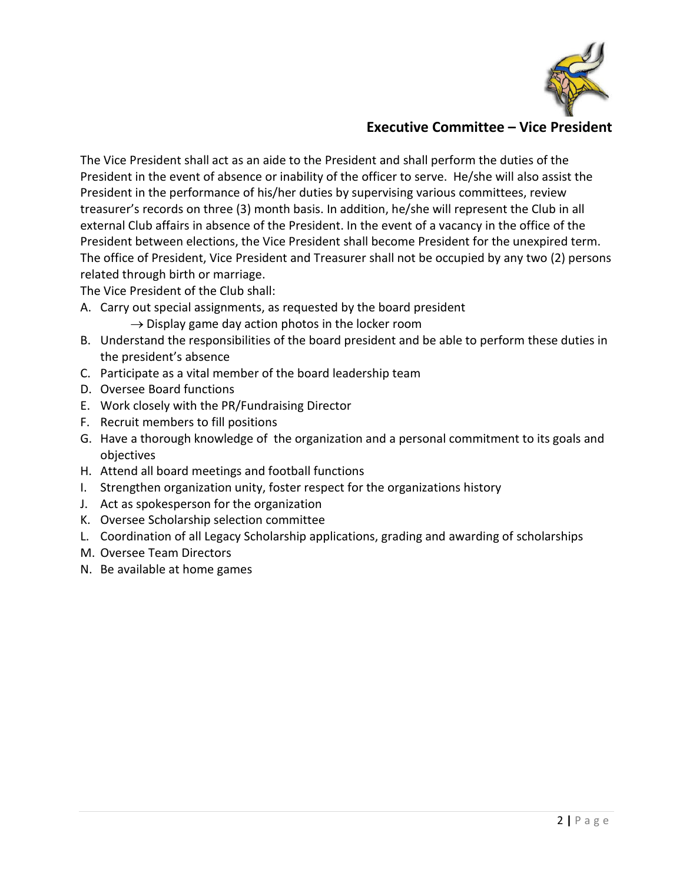

## **Executive Committee – Vice President**

The Vice President shall act as an aide to the President and shall perform the duties of the President in the event of absence or inability of the officer to serve. He/she will also assist the President in the performance of his/her duties by supervising various committees, review treasurer's records on three (3) month basis. In addition, he/she will represent the Club in all external Club affairs in absence of the President. In the event of a vacancy in the office of the President between elections, the Vice President shall become President for the unexpired term. The office of President, Vice President and Treasurer shall not be occupied by any two (2) persons related through birth or marriage.

The Vice President of the Club shall:

- A. Carry out special assignments, as requested by the board president
	- $\rightarrow$  Display game day action photos in the locker room
- B. Understand the responsibilities of the board president and be able to perform these duties in the president's absence
- C. Participate as a vital member of the board leadership team
- D. Oversee Board functions
- E. Work closely with the PR/Fundraising Director
- F. Recruit members to fill positions
- G. Have a thorough knowledge of the organization and a personal commitment to its goals and objectives
- H. Attend all board meetings and football functions
- I. Strengthen organization unity, foster respect for the organizations history
- J. Act as spokesperson for the organization
- K. Oversee Scholarship selection committee
- L. Coordination of all Legacy Scholarship applications, grading and awarding of scholarships
- M. Oversee Team Directors
- N. Be available at home games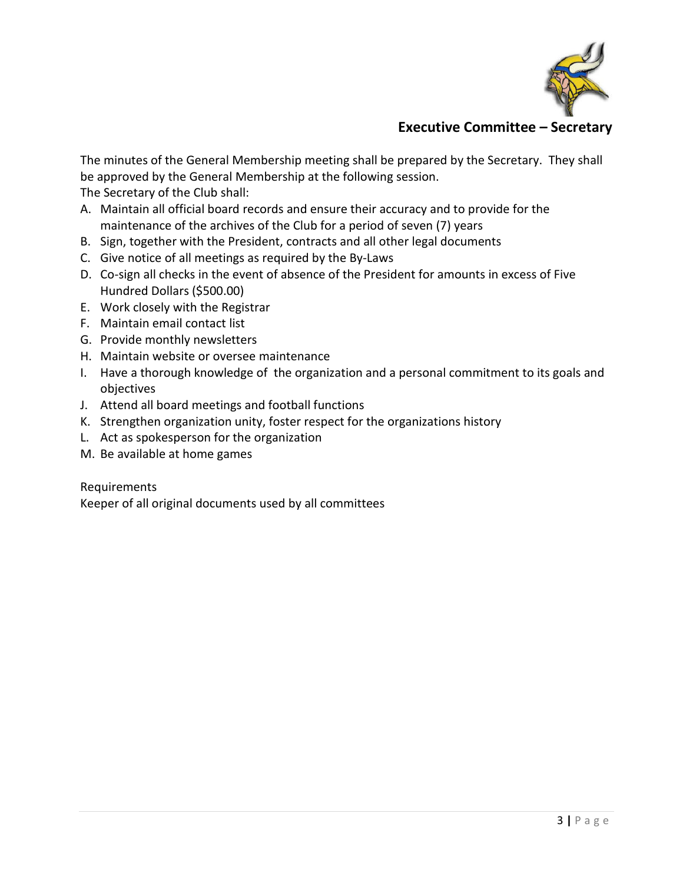

# **Executive Committee – Secretary**

The minutes of the General Membership meeting shall be prepared by the Secretary. They shall be approved by the General Membership at the following session.

The Secretary of the Club shall:

- A. Maintain all official board records and ensure their accuracy and to provide for the maintenance of the archives of the Club for a period of seven (7) years
- B. Sign, together with the President, contracts and all other legal documents
- C. Give notice of all meetings as required by the By-Laws
- D. Co-sign all checks in the event of absence of the President for amounts in excess of Five Hundred Dollars (\$500.00)
- E. Work closely with the Registrar
- F. Maintain email contact list
- G. Provide monthly newsletters
- H. Maintain website or oversee maintenance
- I. Have a thorough knowledge of the organization and a personal commitment to its goals and objectives
- J. Attend all board meetings and football functions
- K. Strengthen organization unity, foster respect for the organizations history
- L. Act as spokesperson for the organization
- M. Be available at home games

Requirements

Keeper of all original documents used by all committees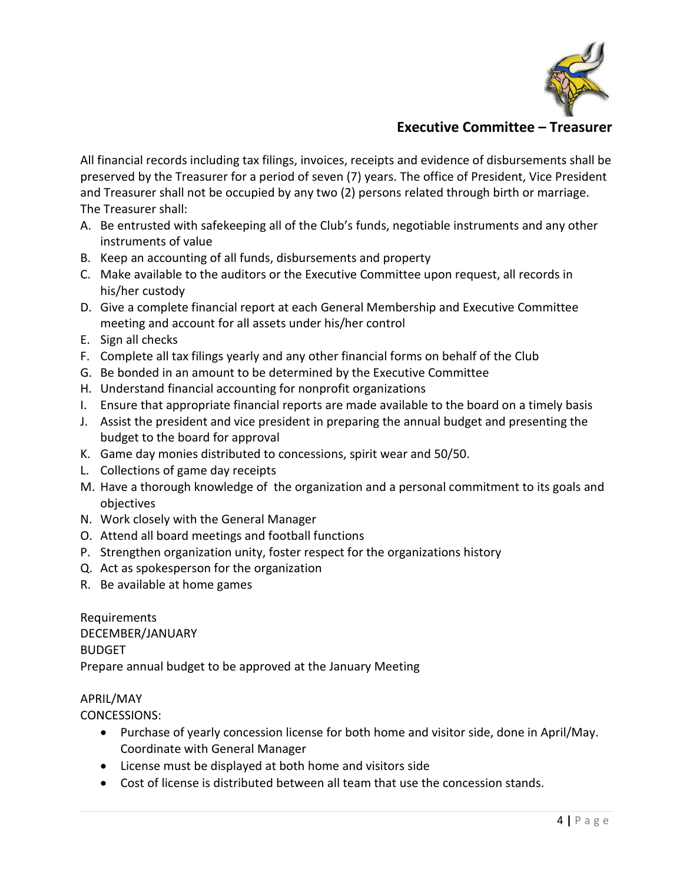

## **Executive Committee – Treasurer**

All financial records including tax filings, invoices, receipts and evidence of disbursements shall be preserved by the Treasurer for a period of seven (7) years. The office of President, Vice President and Treasurer shall not be occupied by any two (2) persons related through birth or marriage. The Treasurer shall:

- A. Be entrusted with safekeeping all of the Club's funds, negotiable instruments and any other instruments of value
- B. Keep an accounting of all funds, disbursements and property
- C. Make available to the auditors or the Executive Committee upon request, all records in his/her custody
- D. Give a complete financial report at each General Membership and Executive Committee meeting and account for all assets under his/her control
- E. Sign all checks
- F. Complete all tax filings yearly and any other financial forms on behalf of the Club
- G. Be bonded in an amount to be determined by the Executive Committee
- H. Understand financial accounting for nonprofit organizations
- I. Ensure that appropriate financial reports are made available to the board on a timely basis
- J. Assist the president and vice president in preparing the annual budget and presenting the budget to the board for approval
- K. Game day monies distributed to concessions, spirit wear and 50/50.
- L. Collections of game day receipts
- M. Have a thorough knowledge of the organization and a personal commitment to its goals and objectives
- N. Work closely with the General Manager
- O. Attend all board meetings and football functions
- P. Strengthen organization unity, foster respect for the organizations history
- Q. Act as spokesperson for the organization
- R. Be available at home games

Requirements DECEMBER/JANUARY BUDGET Prepare annual budget to be approved at the January Meeting

#### APRIL/MAY

CONCESSIONS:

- Purchase of yearly concession license for both home and visitor side, done in April/May. Coordinate with General Manager
- License must be displayed at both home and visitors side
- Cost of license is distributed between all team that use the concession stands.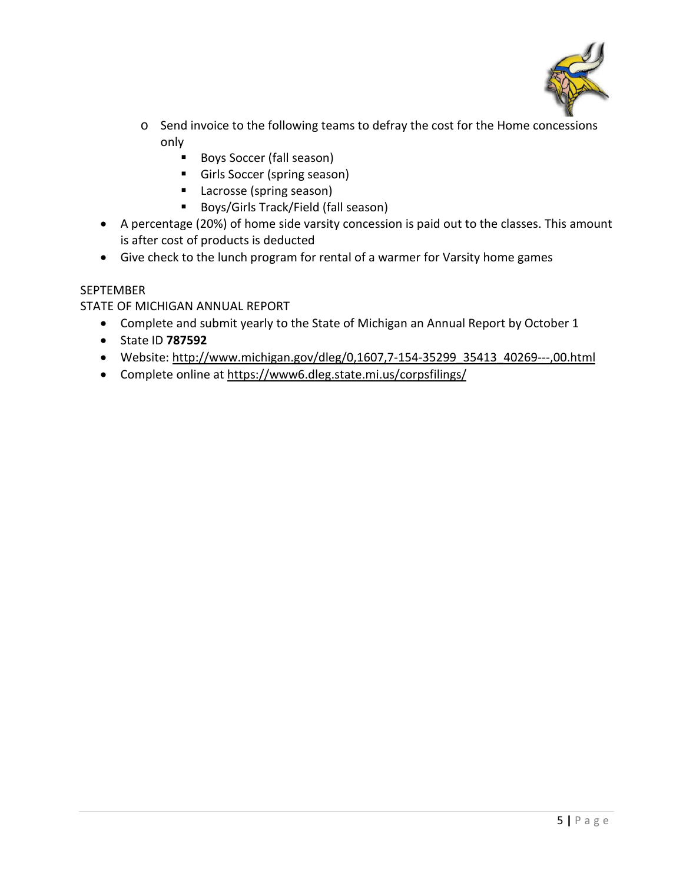

- o Send invoice to the following teams to defray the cost for the Home concessions only
	- Boys Soccer (fall season)
	- **Girls Soccer (spring season)**
	- **Lacrosse (spring season)**
	- Boys/Girls Track/Field (fall season)
- A percentage (20%) of home side varsity concession is paid out to the classes. This amount is after cost of products is deducted
- Give check to the lunch program for rental of a warmer for Varsity home games

#### SEPTEMBER

### STATE OF MICHIGAN ANNUAL REPORT

- Complete and submit yearly to the State of Michigan an Annual Report by October 1
- State ID **787592**
- Website: [http://www.michigan.gov/dleg/0,1607,7-154-35299\\_35413\\_40269---,00.html](http://www.michigan.gov/dleg/0,1607,7-154-35299_35413_40269---,00.html)
- Complete online a[t https://www6.dleg.state.mi.us/corpsfilings/](https://www6.dleg.state.mi.us/corpsfilings/)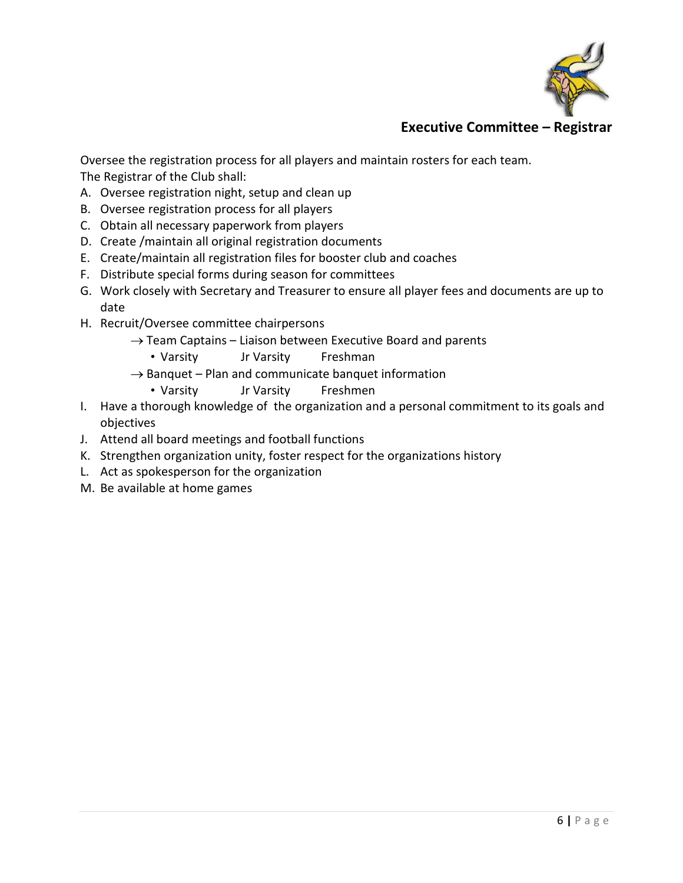

# **Executive Committee – Registrar**

Oversee the registration process for all players and maintain rosters for each team. The Registrar of the Club shall:

- A. Oversee registration night, setup and clean up
- B. Oversee registration process for all players
- C. Obtain all necessary paperwork from players
- D. Create /maintain all original registration documents
- E. Create/maintain all registration files for booster club and coaches
- F. Distribute special forms during season for committees
- G. Work closely with Secretary and Treasurer to ensure all player fees and documents are up to date
- H. Recruit/Oversee committee chairpersons
	- $\rightarrow$  Team Captains Liaison between Executive Board and parents
		- Varsity Jr Varsity Freshman
	- $\rightarrow$  Banquet Plan and communicate banquet information
		- Varsity Jr Varsity Freshmen
- I. Have a thorough knowledge of the organization and a personal commitment to its goals and objectives
- J. Attend all board meetings and football functions
- K. Strengthen organization unity, foster respect for the organizations history
- L. Act as spokesperson for the organization
- M. Be available at home games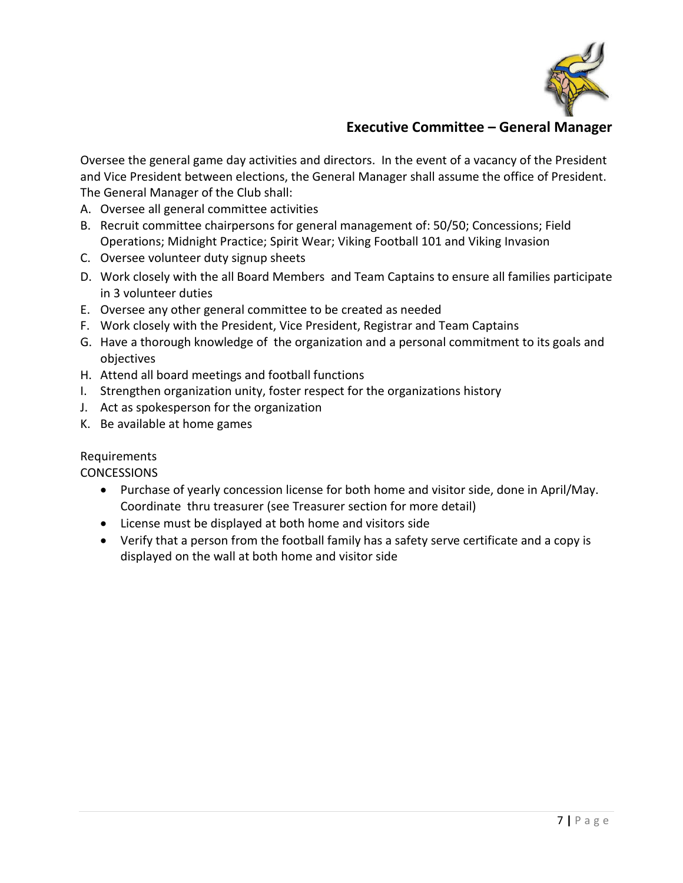

# **Executive Committee – General Manager**

Oversee the general game day activities and directors. In the event of a vacancy of the President and Vice President between elections, the General Manager shall assume the office of President. The General Manager of the Club shall:

- A. Oversee all general committee activities
- B. Recruit committee chairpersons for general management of: 50/50; Concessions; Field Operations; Midnight Practice; Spirit Wear; Viking Football 101 and Viking Invasion
- C. Oversee volunteer duty signup sheets
- D. Work closely with the all Board Members and Team Captains to ensure all families participate in 3 volunteer duties
- E. Oversee any other general committee to be created as needed
- F. Work closely with the President, Vice President, Registrar and Team Captains
- G. Have a thorough knowledge of the organization and a personal commitment to its goals and objectives
- H. Attend all board meetings and football functions
- I. Strengthen organization unity, foster respect for the organizations history
- J. Act as spokesperson for the organization
- K. Be available at home games

#### Requirements

**CONCESSIONS** 

- Purchase of yearly concession license for both home and visitor side, done in April/May. Coordinate thru treasurer (see Treasurer section for more detail)
- License must be displayed at both home and visitors side
- Verify that a person from the football family has a safety serve certificate and a copy is displayed on the wall at both home and visitor side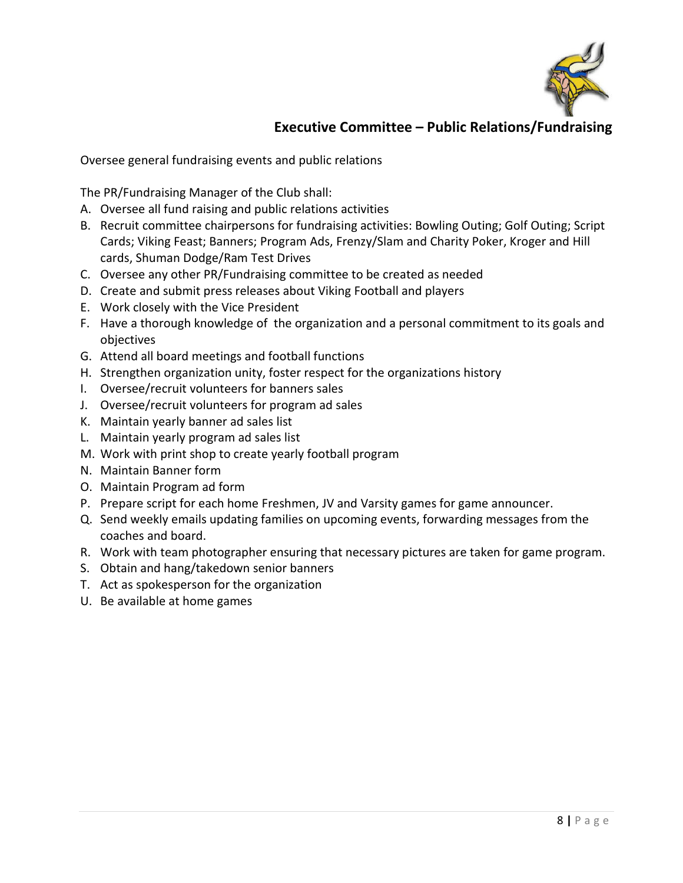

# **Executive Committee – Public Relations/Fundraising**

Oversee general fundraising events and public relations

The PR/Fundraising Manager of the Club shall:

- A. Oversee all fund raising and public relations activities
- B. Recruit committee chairpersons for fundraising activities: Bowling Outing; Golf Outing; Script Cards; Viking Feast; Banners; Program Ads, Frenzy/Slam and Charity Poker, Kroger and Hill cards, Shuman Dodge/Ram Test Drives
- C. Oversee any other PR/Fundraising committee to be created as needed
- D. Create and submit press releases about Viking Football and players
- E. Work closely with the Vice President
- F. Have a thorough knowledge of the organization and a personal commitment to its goals and objectives
- G. Attend all board meetings and football functions
- H. Strengthen organization unity, foster respect for the organizations history
- I. Oversee/recruit volunteers for banners sales
- J. Oversee/recruit volunteers for program ad sales
- K. Maintain yearly banner ad sales list
- L. Maintain yearly program ad sales list
- M. Work with print shop to create yearly football program
- N. Maintain Banner form
- O. Maintain Program ad form
- P. Prepare script for each home Freshmen, JV and Varsity games for game announcer.
- Q. Send weekly emails updating families on upcoming events, forwarding messages from the coaches and board.
- R. Work with team photographer ensuring that necessary pictures are taken for game program.
- S. Obtain and hang/takedown senior banners
- T. Act as spokesperson for the organization
- U. Be available at home games